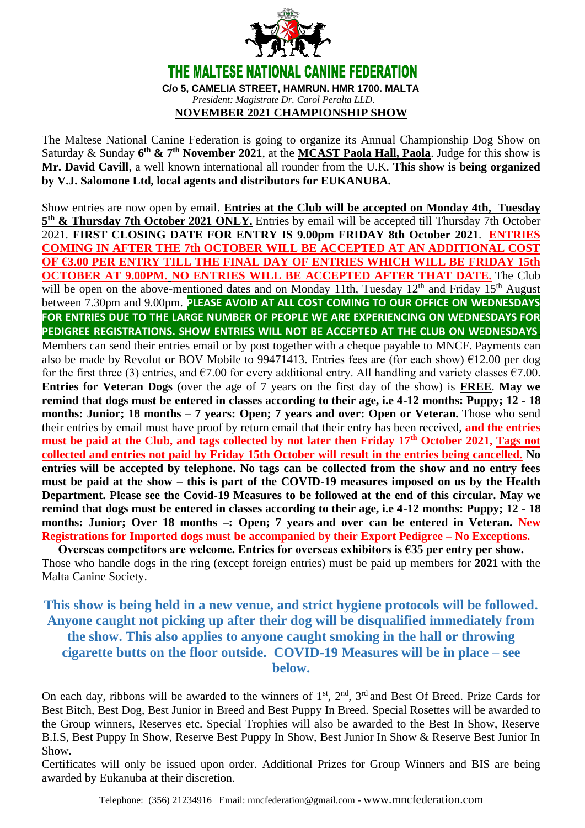

The Maltese National Canine Federation is going to organize its Annual Championship Dog Show on Saturday & Sunday  $6<sup>th</sup>$  &  $7<sup>th</sup>$  **November** 2021, at the **MCAST Paola Hall, Paola**. Judge for this show is **Mr. David Cavill**, a well known international all rounder from the U.K. **This show is being organized by V.J. Salomone Ltd, local agents and distributors for EUKANUBA.**

Show entries are now open by email. **Entries at the Club will be accepted on Monday 4th, Tuesday 5 th & Thursday 7th October 2021 ONLY.** Entries by email will be accepted till Thursday 7th October 2021. **FIRST CLOSING DATE FOR ENTRY IS 9.00pm FRIDAY 8th October 2021**. **ENTRIES COMING IN AFTER THE 7th OCTOBER WILL BE ACCEPTED AT AN ADDITIONAL COST OF €3.00 PER ENTRY TILL THE FINAL DAY OF ENTRIES WHICH WILL BE FRIDAY 15th OCTOBER AT 9.00PM. NO ENTRIES WILL BE ACCEPTED AFTER THAT DATE.** The Club will be open on the above-mentioned dates and on Monday 11th, Tuesday 12<sup>th</sup> and Friday 15<sup>th</sup> August between 7.30pm and 9.00pm. **PLEASE AVOID AT ALL COST COMING TO OUR OFFICE ON WEDNESDAYS FOR ENTRIES DUE TO THE LARGE NUMBER OF PEOPLE WE ARE EXPERIENCING ON WEDNESDAYS FOR PEDIGREE REGISTRATIONS. SHOW ENTRIES WILL NOT BE ACCEPTED AT THE CLUB ON WEDNESDAYS**. Members can send their entries email or by post together with a cheque payable to MNCF. Payments can also be made by Revolut or BOV Mobile to 99471413. Entries fees are (for each show) €12.00 per dog for the first three (3) entries, and  $\epsilon$ 7.00 for every additional entry. All handling and variety classes  $\epsilon$ 7.00. **Entries for Veteran Dogs** (over the age of 7 years on the first day of the show) is **FREE**. **May we remind that dogs must be entered in classes according to their age, i.e 4-12 months: Puppy; 12 - 18 months: Junior; 18 months – 7 years: Open; 7 years and over: Open or Veteran.** Those who send their entries by email must have proof by return email that their entry has been received, **and the entries must be paid at the Club, and tags collected by not later then Friday 17th October 2021, Tags not collected and entries not paid by Friday 15th October will result in the entries being cancelled. No entries will be accepted by telephone. No tags can be collected from the show and no entry fees must be paid at the show – this is part of the COVID-19 measures imposed on us by the Health Department. Please see the Covid-19 Measures to be followed at the end of this circular. May we remind that dogs must be entered in classes according to their age, i.e 4-12 months: Puppy; 12 - 18 months: Junior; Over 18 months –: Open; 7 years and over can be entered in Veteran. New Registrations for Imported dogs must be accompanied by their Export Pedigree – No Exceptions.**

**Overseas competitors are welcome. Entries for overseas exhibitors is €35 per entry per show.** Those who handle dogs in the ring (except foreign entries) must be paid up members for **2021** with the Malta Canine Society.

## **This show is being held in a new venue, and strict hygiene protocols will be followed. Anyone caught not picking up after their dog will be disqualified immediately from the show. This also applies to anyone caught smoking in the hall or throwing cigarette butts on the floor outside. COVID-19 Measures will be in place – see below.**

On each day, ribbons will be awarded to the winners of  $1<sup>st</sup>$ ,  $2<sup>nd</sup>$ ,  $3<sup>rd</sup>$  and Best Of Breed. Prize Cards for Best Bitch, Best Dog, Best Junior in Breed and Best Puppy In Breed. Special Rosettes will be awarded to the Group winners, Reserves etc. Special Trophies will also be awarded to the Best In Show, Reserve B.I.S, Best Puppy In Show, Reserve Best Puppy In Show, Best Junior In Show & Reserve Best Junior In Show.

Certificates will only be issued upon order. Additional Prizes for Group Winners and BIS are being awarded by Eukanuba at their discretion.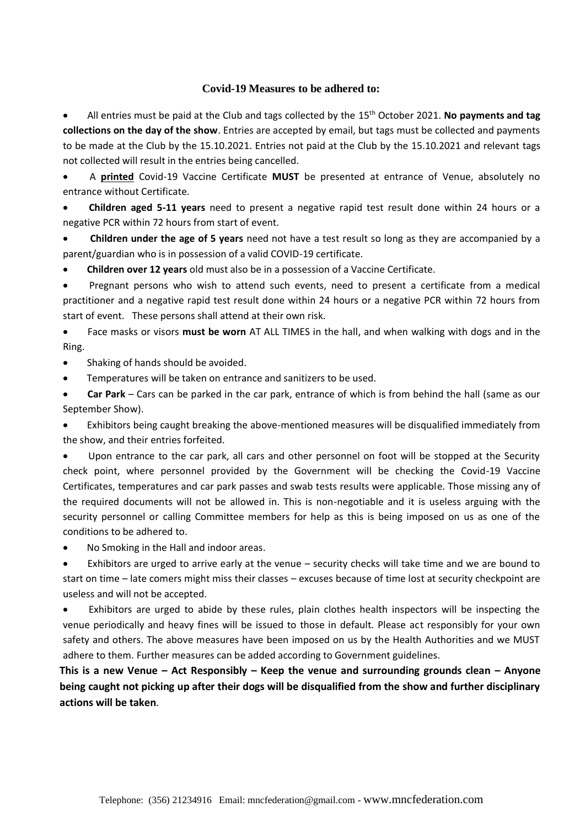## **Covid-19 Measures to be adhered to:**

• All entries must be paid at the Club and tags collected by the 15th October 2021. **No payments and tag collections on the day of the show**. Entries are accepted by email, but tags must be collected and payments to be made at the Club by the 15.10.2021. Entries not paid at the Club by the 15.10.2021 and relevant tags not collected will result in the entries being cancelled.

• A **printed** Covid-19 Vaccine Certificate **MUST** be presented at entrance of Venue, absolutely no entrance without Certificate.

• **Children aged 5-11 years** need to present a negative rapid test result done within 24 hours or a negative PCR within 72 hours from start of event.

• **Children under the age of 5 years** need not have a test result so long as they are accompanied by a parent/guardian who is in possession of a valid COVID-19 certificate.

• **Children over 12 years** old must also be in a possession of a Vaccine Certificate.

• Pregnant persons who wish to attend such events, need to present a certificate from a medical practitioner and a negative rapid test result done within 24 hours or a negative PCR within 72 hours from start of event. These persons shall attend at their own risk.

• Face masks or visors **must be worn** AT ALL TIMES in the hall, and when walking with dogs and in the Ring.

• Shaking of hands should be avoided.

• Temperatures will be taken on entrance and sanitizers to be used.

• **Car Park** – Cars can be parked in the car park, entrance of which is from behind the hall (same as our September Show).

• Exhibitors being caught breaking the above-mentioned measures will be disqualified immediately from the show, and their entries forfeited.

Upon entrance to the car park, all cars and other personnel on foot will be stopped at the Security check point, where personnel provided by the Government will be checking the Covid-19 Vaccine Certificates, temperatures and car park passes and swab tests results were applicable. Those missing any of the required documents will not be allowed in. This is non-negotiable and it is useless arguing with the security personnel or calling Committee members for help as this is being imposed on us as one of the conditions to be adhered to.

• No Smoking in the Hall and indoor areas.

Exhibitors are urged to arrive early at the venue - security checks will take time and we are bound to start on time – late comers might miss their classes – excuses because of time lost at security checkpoint are useless and will not be accepted.

Exhibitors are urged to abide by these rules, plain clothes health inspectors will be inspecting the venue periodically and heavy fines will be issued to those in default. Please act responsibly for your own safety and others. The above measures have been imposed on us by the Health Authorities and we MUST adhere to them. Further measures can be added according to Government guidelines.

**This is a new Venue – Act Responsibly – Keep the venue and surrounding grounds clean – Anyone being caught not picking up after their dogs will be disqualified from the show and further disciplinary actions will be taken**.